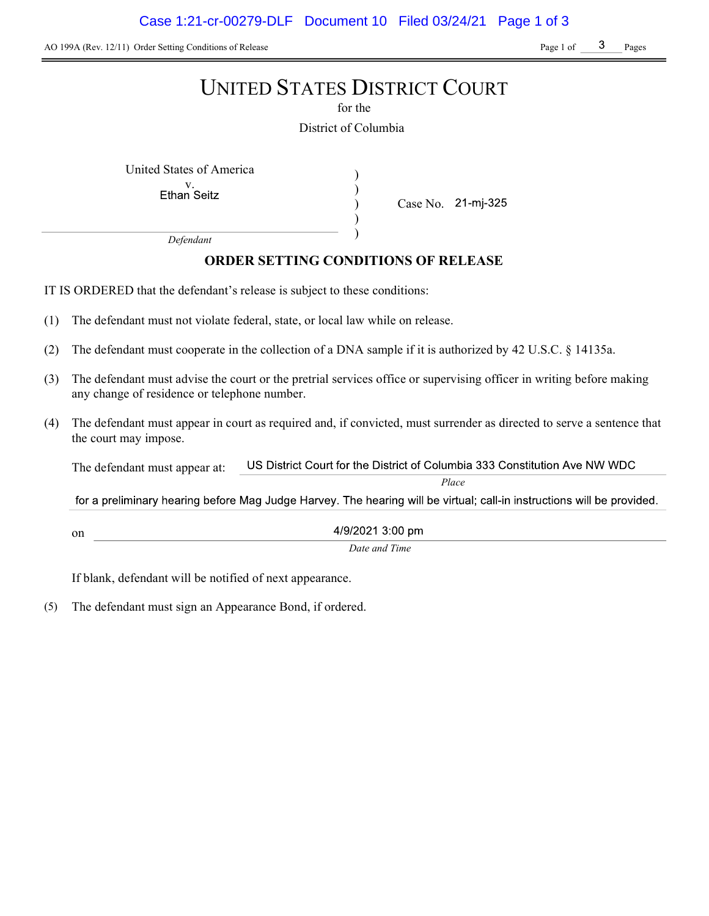AO 199A (Rev. 12/11) Order Setting Conditions of Release Page 1 of Page 1 of Pages

# UNITED STATES DISTRICT COURT

for the

District of Columbia

) ) ) )

United States of America (1992)

v.<br>Ethan Seitz

Case No. 21-mj-325

Defendant

# ORDER SETTING CONDITIONS OF RELEASE

IT IS ORDERED that the defendant's release is subject to these conditions:

- (1) The defendant must not violate federal, state, or local law while on release.
- (2) The defendant must cooperate in the collection of a DNA sample if it is authorized by 42 U.S.C. § 14135a.
- (3) The defendant must advise the court or the pretrial services office or supervising officer in writing before making any change of residence or telephone number.
- (4) The defendant must appear in court as required and, if convicted, must surrender as directed to serve a sentence that the court may impose.

US District Court for the District of Columbia 333 Constitution Ave NW WDC The defendant must appear at:

Place

for a preliminary hearing before Mag Judge Harvey. The hearing will be virtual; call-in instructions will be provided.

4/9/2021 3:00 pm

Date and Time

If blank, defendant will be notified of next appearance.

on

(5) The defendant must sign an Appearance Bond, if ordered.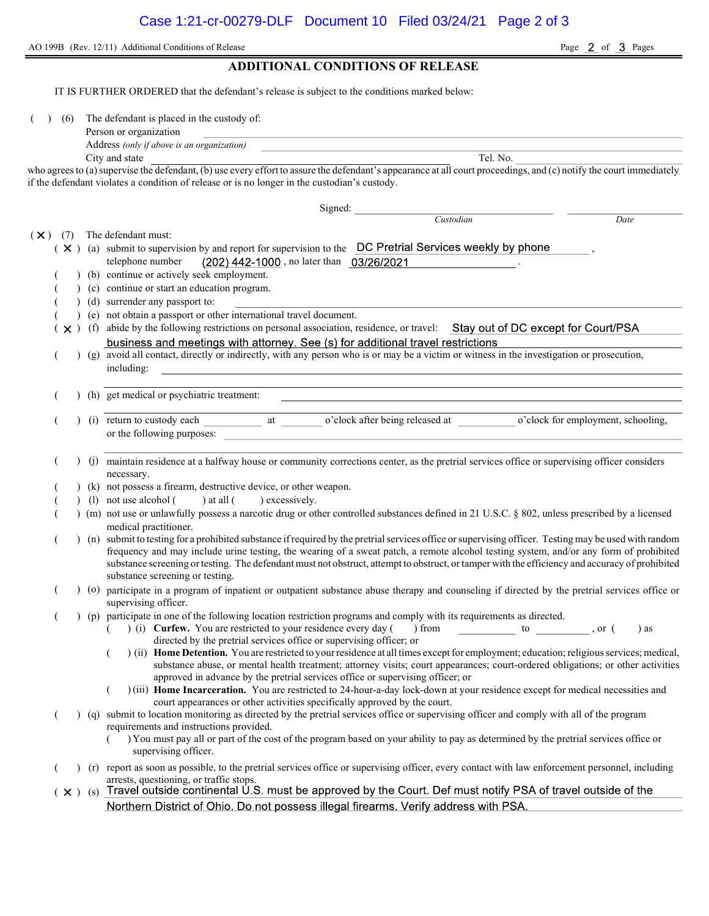AO 199B (Rev. 12/11) Additional Conditions of Release Page 2 of 3 Pages

## ADDITIONAL CONDITIONS OF RELEASE

IT IS FURTHER ORDERED that the defendant's release is subject to the conditions marked below:

( ) (6) The defendant is placed in the custody of:

| Person or organization |  |
|------------------------|--|
|                        |  |

Address (only if above is an organization) City and state Tel. No.

who agrees to (a) supervise the defendant, (b) use every effort to assure the defendant's appearance at all court proceedings, and (c) notify the court immediately if the defendant violates a condition of release or is no longer in the custodian's custody.

|                   |  | Signed:                                                                                                                                                                                    |  |  |
|-------------------|--|--------------------------------------------------------------------------------------------------------------------------------------------------------------------------------------------|--|--|
|                   |  | Custodian<br>Date                                                                                                                                                                          |  |  |
| $(\times)$<br>(7) |  | The defendant must:                                                                                                                                                                        |  |  |
|                   |  | ( X ) (a) submit to supervision by and report for supervision to the DC Pretrial Services weekly by phone                                                                                  |  |  |
|                   |  | (202) 442-1000, no later than 03/26/2021<br>telephone number                                                                                                                               |  |  |
|                   |  | (b) continue or actively seek employment.                                                                                                                                                  |  |  |
|                   |  | (c) continue or start an education program.                                                                                                                                                |  |  |
|                   |  | (d) surrender any passport to:                                                                                                                                                             |  |  |
|                   |  | (e) not obtain a passport or other international travel document.                                                                                                                          |  |  |
| $\times$ )        |  | (f) abide by the following restrictions on personal association, residence, or travel: Stay out of DC except for Court/PSA                                                                 |  |  |
|                   |  | business and meetings with attorney. See (s) for additional travel restrictions                                                                                                            |  |  |
|                   |  | (g) avoid all contact, directly or indirectly, with any person who is or may be a victim or witness in the investigation or prosecution,                                                   |  |  |
|                   |  | including:<br><u> 1989 - Johann Stoff, amerikansk politiker (d. 1989)</u>                                                                                                                  |  |  |
|                   |  |                                                                                                                                                                                            |  |  |
|                   |  | (h) get medical or psychiatric treatment:                                                                                                                                                  |  |  |
|                   |  |                                                                                                                                                                                            |  |  |
|                   |  |                                                                                                                                                                                            |  |  |
|                   |  | or the following purposes:                                                                                                                                                                 |  |  |
|                   |  |                                                                                                                                                                                            |  |  |
|                   |  | (j) maintain residence at a halfway house or community corrections center, as the pretrial services office or supervising officer considers                                                |  |  |
|                   |  | necessary.                                                                                                                                                                                 |  |  |
|                   |  | (k) not possess a firearm, destructive device, or other weapon.                                                                                                                            |  |  |
|                   |  | (1) not use alcohol (<br>) at all ( ) excessively.                                                                                                                                         |  |  |
|                   |  | ) (m) not use or unlawfully possess a narcotic drug or other controlled substances defined in 21 U.S.C. § 802, unless prescribed by a licensed                                             |  |  |
|                   |  | medical practitioner.                                                                                                                                                                      |  |  |
|                   |  | ) (n) submit to testing for a prohibited substance if required by the pretrial services office or supervising officer. Testing may be used with random                                     |  |  |
|                   |  | frequency and may include urine testing, the wearing of a sweat patch, a remote alcohol testing system, and/or any form of prohibited                                                      |  |  |
|                   |  | substance screening or testing. The defendant must not obstruct, attempt to obstruct, or tamper with the efficiency and accuracy of prohibited                                             |  |  |
|                   |  | substance screening or testing.                                                                                                                                                            |  |  |
|                   |  | (o) participate in a program of inpatient or outpatient substance abuse therapy and counseling if directed by the pretrial services office or<br>supervising officer.                      |  |  |
|                   |  | (p) participate in one of the following location restriction programs and comply with its requirements as directed.                                                                        |  |  |
|                   |  | (i) Curfew. You are restricted to your residence every day () from to to , or (<br>) as                                                                                                    |  |  |
|                   |  | directed by the pretrial services office or supervising officer; or                                                                                                                        |  |  |
|                   |  | ) (ii) Home Detention. You are restricted to your residence at all times except for employment; education; religious services; medical,                                                    |  |  |
|                   |  | substance abuse, or mental health treatment; attorney visits; court appearances; court-ordered obligations; or other activities                                                            |  |  |
|                   |  | approved in advance by the pretrial services office or supervising officer; or                                                                                                             |  |  |
|                   |  | )(iii) Home Incarceration. You are restricted to 24-hour-a-day lock-down at your residence except for medical necessities and                                                              |  |  |
|                   |  | court appearances or other activities specifically approved by the court.                                                                                                                  |  |  |
|                   |  | (q) submit to location monitoring as directed by the pretrial services office or supervising officer and comply with all of the program                                                    |  |  |
|                   |  | requirements and instructions provided.<br>) You must pay all or part of the cost of the program based on your ability to pay as determined by the pretrial services office or             |  |  |
|                   |  | supervising officer.                                                                                                                                                                       |  |  |
|                   |  |                                                                                                                                                                                            |  |  |
|                   |  | (r) report as soon as possible, to the pretrial services office or supervising officer, every contact with law enforcement personnel, including<br>arrests, questioning, or traffic stops. |  |  |
|                   |  | $(x)$ (s) Travel outside continental U.S. must be approved by the Court. Def must notify PSA of travel outside of the                                                                      |  |  |
|                   |  | Northern District of Ohio. Do not possess illegal firearms. Verify address with PSA.                                                                                                       |  |  |
|                   |  |                                                                                                                                                                                            |  |  |